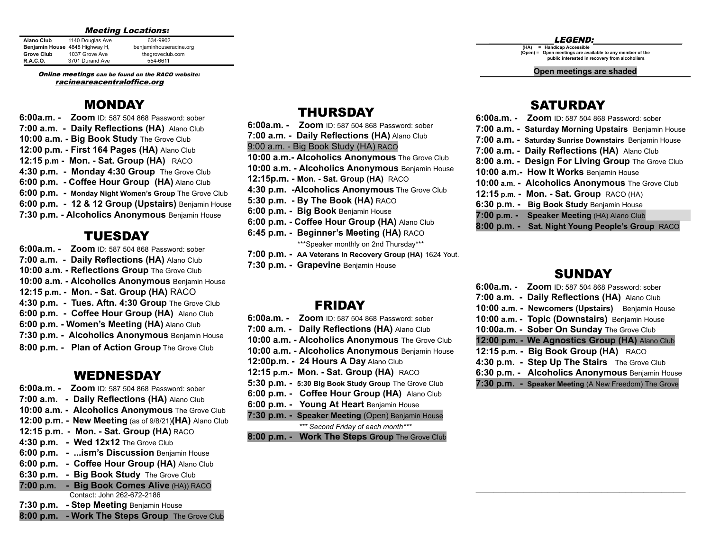#### Meeting Locations:

| <b>Alano Club</b> | 1140 Douglas Ave               | 634-9902                |
|-------------------|--------------------------------|-------------------------|
|                   | Benjamin House 4848 Highway H, | benjaminhouseracine.org |
| <b>Grove Club</b> | 1037 Grove Ave                 | thegroveclub.com        |
| <b>R.A.C.O.</b>   | 3701 Durand Ave                | 554-6611                |

Online meetings can be found on the RACO website: racineareacentraloffice.org

## MONDAY

**6:00a.m. - Zoom** ID: 587 504 868 Password: sober **7:00 a.m. - Daily Reflections (HA)** Alano Club **10:00 a.m. - Big Book Study** The Grove Club **12:00 p.m. - First 164 Pages (HA)** Alano Club **12:15 p.m - Mon. - Sat. Group (HA)** RACO **4:30 p.m. - Monday 4:30 Group** The Grove Club **6:00 p.m. - Coffee Hour Group (HA)** Alano Club **6:00 p.m. - Monday Night Women's Group** The Grove Club **6:00 p.m. - 12 & 12 Group (Upstairs)** Benjamin House **7:30 p.m. - Alcoholics Anonymous** Benjamin House

## TUESDAY

**6:00a.m. - Zoom** ID: 587 504 868 Password: sober **7:00 a.m. - Daily Reflections (HA)** Alano Club **10:00 a.m. - Reflections Group** The Grove Club **10:00 a.m. - Alcoholics Anonymous** Benjamin House **12:15 p.m. - Mon. - Sat. Group (HA)** RACO **4:30 p.m. - Tues. Aftn. 4:30 Group** The Grove Club **6:00 p.m. - Coffee Hour Group (HA)** Alano Club **6:00 p.m. - Women's Meeting (HA)** Alano Club **7:30 p.m. - Alcoholics Anonymous** Benjamin House **8:00 p.m. - Plan of Action Group** The Grove Club

## WEDNESDAY

**6:00a.m. - Zoom** ID: 587 504 868 Password: sober **7:00 a.m. - Daily Reflections (HA)** Alano Club **10:00 a.m. - Alcoholics Anonymous** The Grove Club **12:00 p.m. - New Meeting** (as of 9/8/21)**(HA)** Alano Club **12:15 p.m. - Mon. - Sat. Group (HA)** RACO **4:30 p.m. - Wed 12x12** The Grove Club **6:00 p.m. - ...ism's Discussion** Benjamin House **6:00 p.m. - Coffee Hour Group (HA)** Alano Club **6:30 p.m. - Big Book Study** The Grove Club **7:00 p.m. - Big Book Comes Alive** (HA)) RACO Contact: John 262-672-2186 **7:30 p.m. - Step Meeting** Benjamin House **8:00 p.m. - Work The Steps Group** The Grove Club

## THURSDAY

- **6:00a.m. - Zoom** ID: 587 504 868 Password: sober
- **7:00 a.m. - Daily Reflections (HA)** Alano Club
- 9:00 a.m. Big Book Study (HA) RACO
- **10:00 a.m.- Alcoholics Anonymous** The Grove Club
- **10:00 a.m. - Alcoholics Anonymous** Benjamin House
- **12:15p.m. - Mon. Sat. Group (HA)** RACO
- **4:30 p.m. -Alcoholics Anonymous** The Grove Club
- **5:30 p.m. - By The Book (HA)** RACO
- **6:00 p.m. - Big Book** Benjamin House
- **6:00 p.m. - Coffee Hour Group (HA)** Alano Club
- **6:45 p.m. - Beginner's Meeting (HA)** RACO \*\*\*Speaker monthly on 2nd Thursday\*\*\*
- **7:00 p.m. - AA Veterans In Recovery Group (HA)** 1624 Yout.
- **7:30 p.m. - Grapevine** Benjamin House

## FRIDAY

| 6:00a.m. - Zoom ID: 587 504 868 Password: sober      |
|------------------------------------------------------|
| 7:00 a.m. - Daily Reflections (HA) Alano Club        |
| 10:00 a.m. - Alcoholics Anonymous The Grove Club     |
| 10:00 a.m. - Alcoholics Anonymous Benjamin House     |
| 12:00p.m. - 24 Hours A Day Alano Club                |
| 12:15 p.m.- Mon. - Sat. Group (HA) RACO              |
| 5:30 p.m. - 5:30 Big Book Study Group The Grove Club |
| 6:00 p.m. - Coffee Hour Group (HA) Alano Club        |
| 6:00 p.m. - Young At Heart Benjamin House            |
| 7:30 p.m. - Speaker Meeting (Open) Benjamin House    |
|                                                      |

*\*\*\* Second Friday of each month\*\*\**

**8:00 p.m. - Work The Steps Group** The Grove Club

#### \_\_\_\_\_\_\_\_ LEGEND:\_\_\_\_\_\_\_\_\_\_\_\_\_\_\_\_\_\_\_\_\_\_

**(HA) = Handicap Accessible (Open) = Open meetings are available to any member of the public interested in recovery from alcoholism**.

**Open meetings are shaded**

## **SATURDAY**

#### **SUNDAY**

| 6:00a.m. - $Z$ oom ID: 587 504 868 Password: sober    |
|-------------------------------------------------------|
| 7:00 a.m. - Daily Reflections (HA) Alano Club         |
| 10:00 a.m. - Newcomers (Upstairs) Benjamin House      |
| 10:00 a.m. - Topic (Downstairs) Benjamin House        |
| 10:00a.m. - Sober On Sunday The Grove Club            |
| 12:00 p.m. - We Agnostics Group (HA) Alano Club       |
| 12:15 p.m. - Big Book Group (HA) RACO                 |
| 4:30 p.m. - Step Up The Stairs The Grove Club         |
| 6:30 p.m. - Alcoholics Anonymous Benjamin House       |
| 7:30 p.m. - Speaker Meeting (A New Freedom) The Grove |

**\_\_\_\_\_\_\_\_\_\_\_\_\_\_\_\_\_\_\_\_\_\_\_\_\_\_\_\_\_\_\_\_\_\_\_**